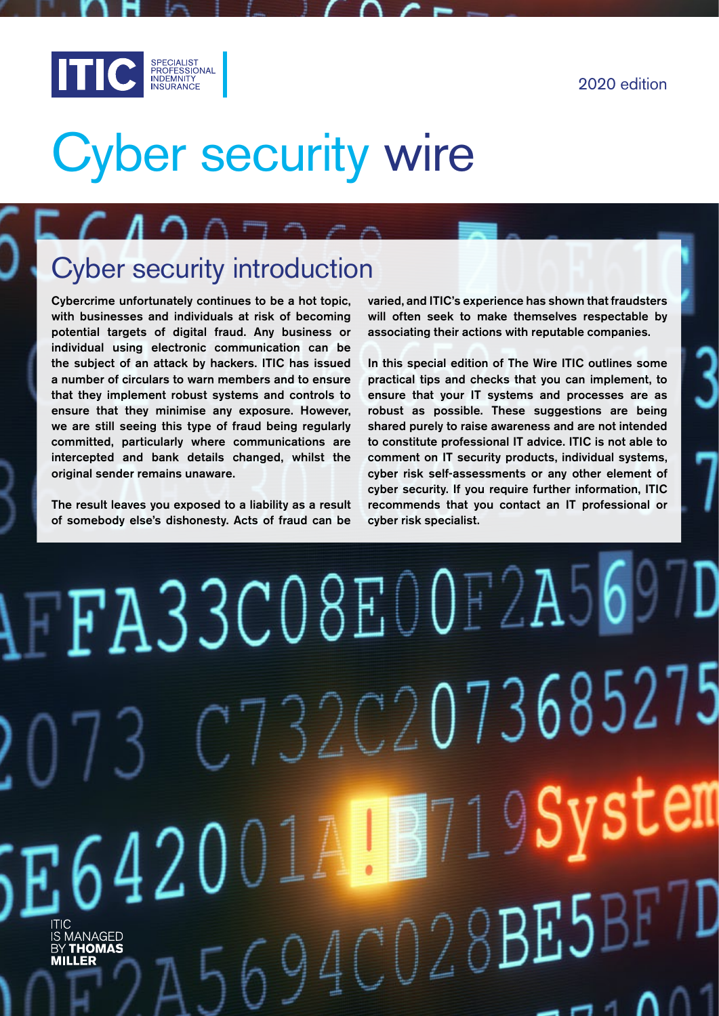

# Cyber security wire

### Cyber security introduction

Cybercrime unfortunately continues to be a hot topic, with businesses and individuals at risk of becoming potential targets of digital fraud. Any business or individual using electronic communication can be the subject of an attack by hackers. ITIC has issued a number of circulars to warn members and to ensure that they implement robust systems and controls to ensure that they minimise any exposure. However, we are still seeing this type of fraud being regularly committed, particularly where communications are intercepted and bank details changed, whilst the original sender remains unaware.

The result leaves you exposed to a liability as a result of somebody else's dishonesty. Acts of fraud can be

varied, and ITIC's experience has shown that fraudsters will often seek to make themselves respectable by associating their actions with reputable companies.

In this special edition of The Wire ITIC outlines some practical tips and checks that you can implement, to ensure that your IT systems and processes are as robust as possible. These suggestions are being shared purely to raise awareness and are not intended to constitute professional IT advice. ITIC is not able to comment on IT security products, individual systems, cyber risk self-assessments or any other element of cyber security. If you require further information, ITIC recommends that you contact an IT professional or cyber risk specialist.

# AFFA33CO8E00F2A5697D  $C732C2073685275$ **Manufacture**  $5E642001$  $6940028$ BEJBF7 ITIC<br>IS MANAGED<br>BY **THOMAS**<br>**MILLER**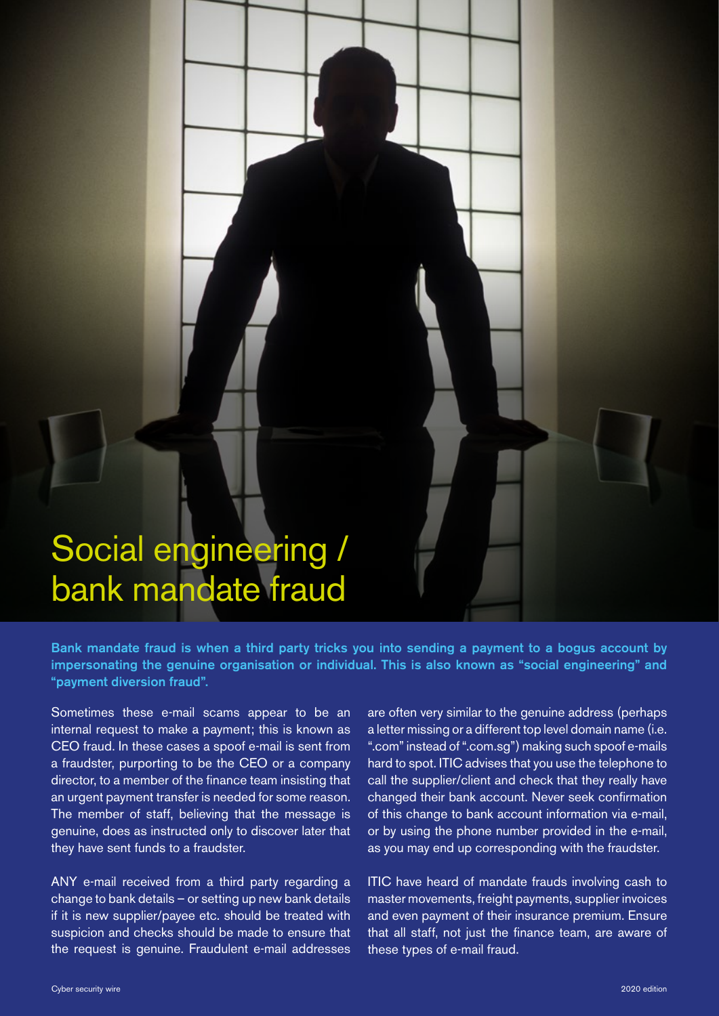# Social engineering / bank mandate fraud

Bank mandate fraud is when a third party tricks you into sending a payment to a bogus account by impersonating the genuine organisation or individual. This is also known as "social engineering" and "payment diversion fraud".

Sometimes these e-mail scams appear to be an internal request to make a payment; this is known as CEO fraud. In these cases a spoof e-mail is sent from a fraudster, purporting to be the CEO or a company director, to a member of the finance team insisting that an urgent payment transfer is needed for some reason. The member of staff, believing that the message is genuine, does as instructed only to discover later that they have sent funds to a fraudster.

ANY e-mail received from a third party regarding a change to bank details – or setting up new bank details if it is new supplier/payee etc. should be treated with suspicion and checks should be made to ensure that the request is genuine. Fraudulent e-mail addresses

are often very similar to the genuine address (perhaps a letter missing or a different top level domain name (i.e. ".com" instead of ".com.sg") making such spoof e-mails hard to spot. ITIC advises that you use the telephone to call the supplier/client and check that they really have changed their bank account. Never seek confirmation of this change to bank account information via e-mail, or by using the phone number provided in the e-mail, as you may end up corresponding with the fraudster.

ITIC have heard of mandate frauds involving cash to master movements, freight payments, supplier invoices and even payment of their insurance premium. Ensure that all staff, not just the finance team, are aware of these types of e-mail fraud.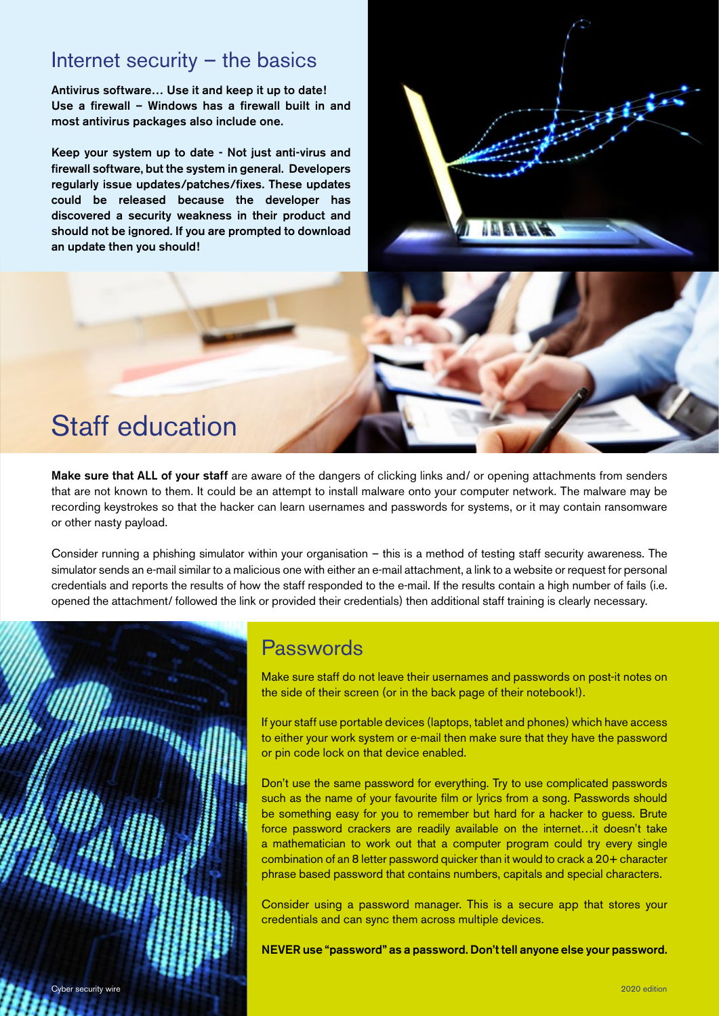#### Internet security – the basics

Antivirus software… Use it and keep it up to date! Use a firewall – Windows has a firewall built in and most antivirus packages also include one.

Keep your system up to date - Not just anti-virus and firewall software, but the system in general. Developers regularly issue updates/patches/fixes. These updates could be released because the developer has discovered a security weakness in their product and should not be ignored. If you are prompted to download an update then you should!

## Staff education

Make sure that ALL of your staff are aware of the dangers of clicking links and/ or opening attachments from senders that are not known to them. It could be an attempt to install malware onto your computer network. The malware may be recording keystrokes so that the hacker can learn usernames and passwords for systems, or it may contain ransomware or other nasty payload.

Consider running a phishing simulator within your organisation – this is a method of testing staff security awareness. The simulator sends an e-mail similar to a malicious one with either an e-mail attachment, a link to a website or request for personal credentials and reports the results of how the staff responded to the e-mail. If the results contain a high number of fails (i.e. opened the attachment/ followed the link or provided their credentials) then additional staff training is clearly necessary.



#### Passwords

Make sure staff do not leave their usernames and passwords on post-it notes on the side of their screen (or in the back page of their notebook!).

If your staff use portable devices (laptops, tablet and phones) which have access to either your work system or e-mail then make sure that they have the password or pin code lock on that device enabled.

Don't use the same password for everything. Try to use complicated passwords such as the name of your favourite film or lyrics from a song. Passwords should be something easy for you to remember but hard for a hacker to guess. Brute force password crackers are readily available on the internet…it doesn't take a mathematician to work out that a computer program could try every single combination of an 8 letter password quicker than it would to crack a 20+ character phrase based password that contains numbers, capitals and special characters.

Consider using a password manager. This is a secure app that stores your credentials and can sync them across multiple devices.

NEVER use "password" as a password. Don't tell anyone else your password.